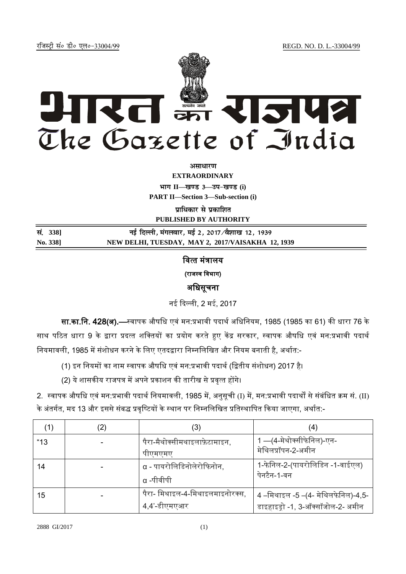REGD. NO. D. L.-33004/99

रजिस्ट्री सं० डी० एल०-33004/99



असाधारण

**EXTRAORDINARY** भाग II-खण्ड 3-उप-खण्ड (i) **PART II—Section 3—Sub-section (i)**

प्राधिकार से प्रकाशित

**PUBLISHED BY AUTHORITY**

| सं. 338] | नई दिल्ली, मंगलवार, मई 2, 2017⁄वैशाख 12, 1939     |
|----------|---------------------------------------------------|
| No. 338] | NEW DELHI, TUESDAY, MAY 2, 2017/VAISAKHA 12, 1939 |

# वित्तंत्रालय (राजस्व विभाग) अधिसूचना

नई दिल्ली, 2 मई, 2017

सा.का.नि. 428(अ).—स्वापक औषधि एवं मन:प्रभावी पदार्थ अधिनियम, 1985 (1985 का 61) की धारा 76 के साथ पठित धारा 9 के द्वारा प्रदत्त शक्तियों का प्रयोग करते हुए केंद्र सरकार, स्वापक औषधि एवं मन:प्रभावी पदार्थ नियमावली, 1985 में संशोधन करने के लिए एतदद्वारा निम्नलिखित और नियम बनाती है, अर्थात:-

- (1) इन नियमों का नाम स्वापक औषधि एवं मन:प्रभावी पदार्थ (द्वितीय संशोधन) 2017 है।
- (2) ये शासकीय राजपत्र में अपने प्रकाशन की तारीख से प्रवृत्त होंगे।

2. स्वापक औषधि एवं मन:प्रभावी पदार्थ नियमावली, 1985 में, अनुसूची (I) में, मन:प्रभावी पदार्थों से संबंधित क्रम सं. (II) के अंतर्गत, मद 13 और इससे संबद्ध प्रवृष्टियों के स्थान पर निम्नलिखित प्रतिस्थापित किया जाएगा, अर्थात:-

|      | (3)                             | $\left( 4\right)$                  |
|------|---------------------------------|------------------------------------|
| "13" | पैरा-मैथोक्सीमथाइलाफ़ेटामाइन,   | 1 —(4-मेथोक्सीफेनिल)-एन-           |
|      | पीएमएमए                         | मेथिलप्रॉपन-2-अमीन                 |
| 14   | α - पायरोलिडिनोलेरोफिनोन.       | 1-फेनिल-2-(पायरोलिडिन -1-वाईएल)    |
|      | $\alpha$ -पीवीपी                | पेनटैन-1-वन                        |
| 15   | पैरा- मिथाइल-4-मिथाइलमाइनोरक्स, | 4 –मिथाइल -5 –(4- मेथिलफेनिल)-4,5- |
|      | 4,4'-डीएमएआर                    | डाइहाइड्रो -1, 3-ऑक्सॉजोल-2- अमीन  |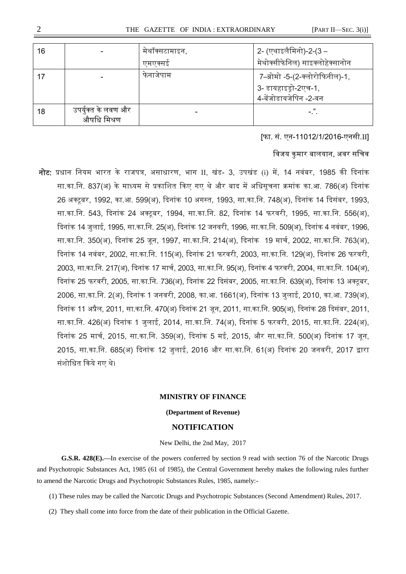| 16 |                                    | मेथॉक्सटामाइन,<br>एमएक्सइ | 2- (एथाइलैमिनो)-2-(3 –<br>मेथोक्सीफेनिल) साइक्लोहेक्सानोन                       |
|----|------------------------------------|---------------------------|---------------------------------------------------------------------------------|
|    |                                    | फनाजपाम                   | 7–ब्रोमो -5-(2-क्लोरोफिनील)-1,<br>3- डायहाइड्रो-2एच-1,<br>4-बेंजोडायजेपिन -2-वन |
| 18 | उपर्युक्त के लवण और<br>औषधि मिश्रण |                           | $-$ .".                                                                         |

[फा. सं. एन-11012/1/2016-एनसी.II]

विजय कमार बालयान. अवर सचिव

नोट: प्रधान नियम भारत के राजपत्र, असाधारण, भाग II, खंड- 3, उपखंड (i) में, 14 नवंबर, 1985 की दिनांक सा.का.नि. 837(अ) के माध्यम से प्रकाशित किए गए थे और बाद में अधिसूचना क्रमांक का.आ. 786(अ) दिनांक 26 अक्टूबर, 1992, का.आ. 599(अ), दिनांक 10 अगस्त, 1993, सा.का.नि. 748(अ), दिनांक 14 दिसंबर, 1993, सा.का.नि. 543, दिनांक 24 अक्टूबर, 1994, सा.का.नि. 82, दिनांक 14 फरवरी, 1995, सा.का.नि. 556(अ), दिनांक 14 जुलाई, 1995, सा.का.नि. 25(अ), दिनांक 12 जनवरी, 1996, सा.का.नि. 509(अ), दिनांक 4 नवंबर, 1996, सा.का.नि. 350(अ), दिनांक 25 जून, 1997, सा.का.नि. 214(अ), दिनांक 19 मार्च, 2002, सा.का.नि. 763(अ), दिनांक 14 नवंबर, 2002, सा.का.नि. 115(अ), दिनांक 21 फरवरी, 2003, सा.का.नि. 129(अ), दिनांक 26 फरवरी, 2003, सा.का.नि. 217(अ), दिनांक 17 मार्च, 2003, सा.का.नि. 95(अ), दिनांक 4 फरवरी, 2004, सा.का.नि. 104(अ), दिनांक 25 फरवरी, 2005, सा.का.नि. 736(अ), दिनांक 22 दिसंबर, 2005, सा.का.नि. 639(अ), दिनांक 13 अक्टूबर, 2006, सा.का.नि. 2(अ), दिनांक 1 जनवरी, 2008, का.आ. 1661(अ), दिनांक 13 जुलाई, 2010, का.आ. 739(अ), दिनांक 11 अप्रैल, 2011, सा.का.नि. 470(अ) दिनांक 21 जून, 2011, सा.का.नि. 905(अ), दिनांक 28 दिसंबर, 2011, सा.का.नि. 426(अ) दिनांक 1 जुलाई, 2014, सा.का.नि. 74(अ), दिनांक 5 फरवरी, 2015, सा.का.नि. 224(अ), दिनांक 25 मार्च, 2015, सा.का.नि. 359(अ), दिनांक 5 मई, 2015, और सा.का.नि. 500(अ) दिनांक 17 जून, 2015, सा.का.नि. 685(अ) दिनांक 12 जुलाई, 2016 और सा.का.नि. 61(अ) दिनांक 20 जनवरी, 2017 द्वारा संशोधित किये गए थे।

#### **MINISTRY OF FINANCE**

### **(Department of Revenue)**

### **NOTIFICATION**

New Delhi, the 2nd May, 2017

**G.S.R. 428(E).—**In exercise of the powers conferred by section 9 read with section 76 of the Narcotic Drugs and Psychotropic Substances Act, 1985 (61 of 1985), the Central Government hereby makes the following rules further to amend the Narcotic Drugs and Psychotropic Substances Rules, 1985, namely:-

- (1) These rules may be called the Narcotic Drugs and Psychotropic Substances (Second Amendment) Rules, 2017.
- (2) They shall come into force from the date of their publication in the Official Gazette.